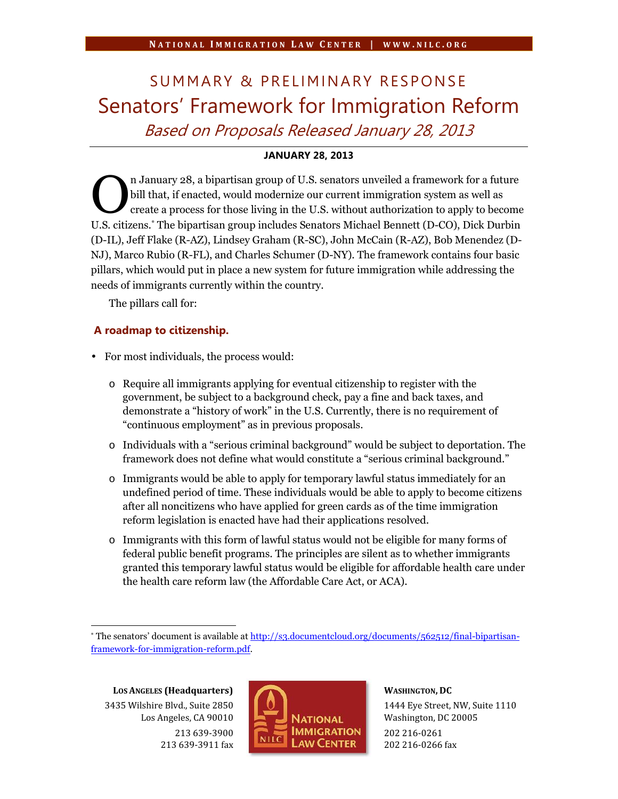# NATIONAL IMMIGRATION LAW CENTER | WWW.NILC.ORG<br>SUMMARY & PRELIMINARY RESPONSE<br>Senators' Framework for Immigration Reform *Based on Proposals Released January 28, 2013*

# **JANUARY 28, 2013**

n January 28, a bipartisan group of U.S. senators unveiled a framework for a future bill that, if enacted, would modernize our current immigration system as well as create a process for those living in the U.S. without authorization to apply to become I.S. senators unveiled a framework for a future<br>bill that, if enacted, would modernize our current immigration system as well as<br>create a process for those living in the U.S. without authorization to apply to become<br>U.S. c (D-IL), Jeff Flake (R-AZ), Lindsey Graham (R-SC), John McCain (R-AZ), Bob Menendez (D- NJ), Marco Rubio (R-FL), and Charles Schumer (D-NY). The framework contains four basic pillars, which would put in place a new system for future immigration while addressing the needs of immigrants currently within the country.

The pillars call for:

# **A roadmap to citizenship.**

- For most individuals, the process would:
	- o Require all immigrants applying for eventual citizenship to register with the government, be subject to a background check, pay a fine and back taxes, and demonstrate a "history of work" in the U.S. Currently, there is no requirement of "continuous employment" as in previous proposals.
	- o Individuals with a "serious criminal background" would be subject to deportation. The framework does not define what would constitute a "serious criminal background."
	- o Immigrants would be able to apply for temporary lawful status immediately for an undefined period of time. These individuals would be able to apply to become citizens after all noncitizens who have applied for green cards as of the time immigration reform legislation is enacted have had their applications resolved.
	- o Immigrants with this form of lawful status would not be eligible for many forms of federal public benefit programs. The principles are silent as to whether immigrants granted this temporary lawful status would be eligible for affordable health care under the health care reform law (the Affordable Care Act, or ACA).

**LOS ANGELES (Headquarters)** 3435 Wilshire Blvd., Suite 2850 Los Angeles, CA 90010 213 639-3900 213 639-3911 fax



### **WASHINGTON, DC**

1444 Eye Street, NW, Suite 1110 Washington, DC 20005 202 216-0261 202 216-0266 fax

<sup>\*</sup> The senators' document is available at http://s3.documentcloud.org/documents/562512/final-bipartisanframework-for-immigration-reform.pdf.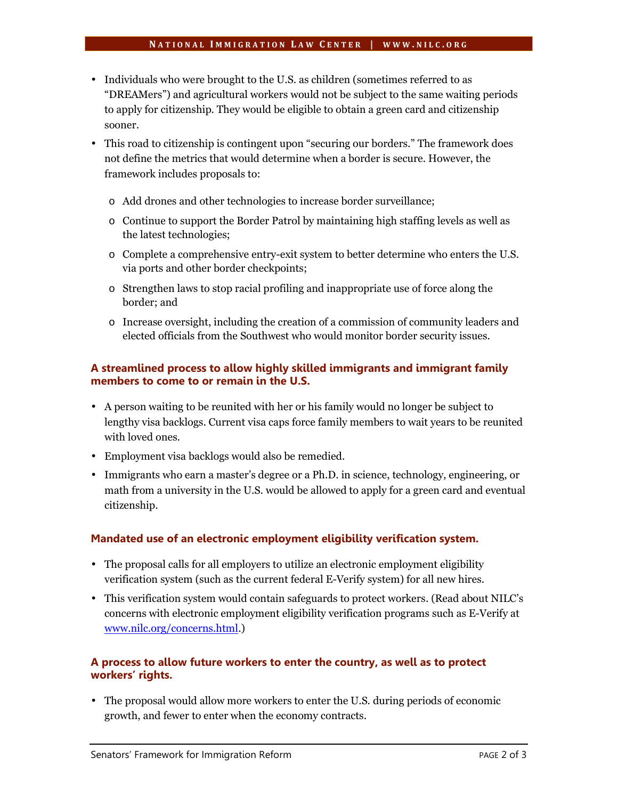## **<sup>N</sup> A T I O N A L <sup>I</sup> M M I G R A T I O N <sup>L</sup> A W <sup>C</sup> E N T E R <sup>|</sup> W W W . N I L C . O R G**

- Individuals who were brought to the U.S. as children (sometimes referred to as "DREAMers") and agricultural workers would not be subject to the same waiting periods to apply for citizenship. They would be eligible to obtain a green card and citizenship sooner.
- This road to citizenship is contingent upon "securing our borders." The framework does not define the metrics that would determine when a border is secure. However, the framework includes proposals to:
	- o Add drones and other technologies to increase border surveillance;
	- o Continue to support the Border Patrol by maintaining high staffing levels as well as the latest technologies;
	- o Complete a comprehensive entry-exit system to better determine who enters the U.S. via ports and other border checkpoints;
	- o Strengthen laws to stop racial profiling and inappropriate use of force along the border; and
	- o Increase oversight, including the creation of a commission of community leaders and elected officials from the Southwest who would monitor border security issues.

# **A streamlined process to allow highly skilled immigrants and immigrant family members to come to or remain in the U.S.**

- A person waiting to be reunited with her or his family would no longer be subject to lengthy visa backlogs. Current visa caps force family members to wait years to be reunited with loved ones.
- Employment visa backlogs would also be remedied.
- Immigrants who earn a master's degree or a Ph.D. in science, technology, engineering, or math from a university in the U.S. would be allowed to apply for a green card and eventual citizenship.

# **Mandated use of an electronic employment eligibility verification system.**

- The proposal calls for all employers to utilize an electronic employment eligibility verification system (such as the current federal E-Verify system) for all new hires.
- This verification system would contain safeguards to protect workers. (Read about NILC's concerns with electronic employment eligibility verification programs such as E-Verify at www.nilc.org/concerns.html.)

# **A process to allow future workers to enter the country, as well as to protect workers' rights.**

 The proposal would allow more workers to enter the U.S. during periods of economic growth, and fewer to enter when the economy contracts.